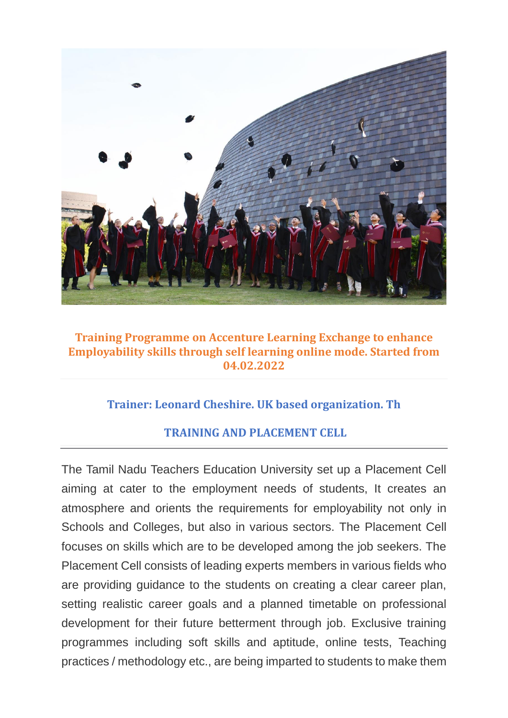

### **Training Programme on Accenture Learning Exchange to enhance Employability skills through self learning online mode. Started from 04.02.2022**

# **Trainer: Leonard Cheshire. UK based organization. Th**

## **TRAINING AND PLACEMENT CELL**

The Tamil Nadu Teachers Education University set up a Placement Cell aiming at cater to the employment needs of students, It creates an atmosphere and orients the requirements for employability not only in Schools and Colleges, but also in various sectors. The Placement Cell focuses on skills which are to be developed among the job seekers. The Placement Cell consists of leading experts members in various fields who are providing guidance to the students on creating a clear career plan, setting realistic career goals and a planned timetable on professional development for their future betterment through job. Exclusive training programmes including soft skills and aptitude, online tests, Teaching practices / methodology etc., are being imparted to students to make them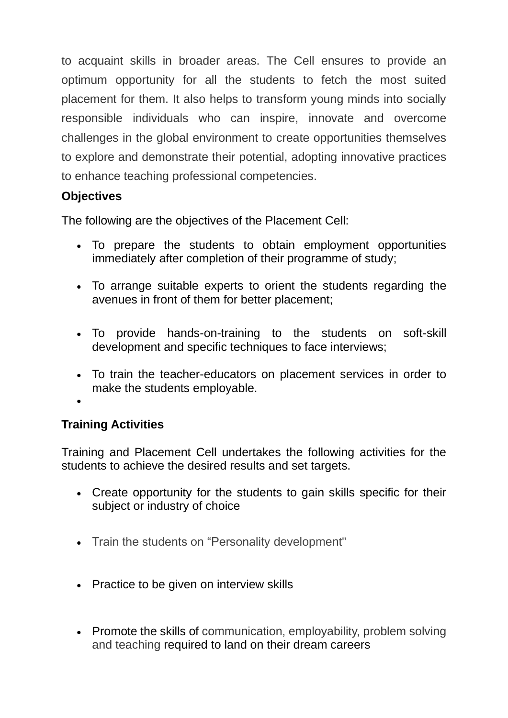to acquaint skills in broader areas. The Cell ensures to provide an optimum opportunity for all the students to fetch the most suited placement for them. It also helps to transform young minds into socially responsible individuals who can inspire, innovate and overcome challenges in the global environment to create opportunities themselves to explore and demonstrate their potential, adopting innovative practices to enhance teaching professional competencies.

# **Objectives**

The following are the objectives of the Placement Cell:

- To prepare the students to obtain employment opportunities immediately after completion of their programme of study;
- To arrange suitable experts to orient the students regarding the avenues in front of them for better placement;
- To provide hands-on-training to the students on soft-skill development and specific techniques to face interviews;
- To train the teacher-educators on placement services in order to make the students employable.

#### •

# **Training Activities**

Training and Placement Cell undertakes the following activities for the students to achieve the desired results and set targets.

- Create opportunity for the students to gain skills specific for their subject or industry of choice
- Train the students on "Personality development"
- Practice to be given on interview skills
- Promote the skills of communication, employability, problem solving and teaching required to land on their dream careers